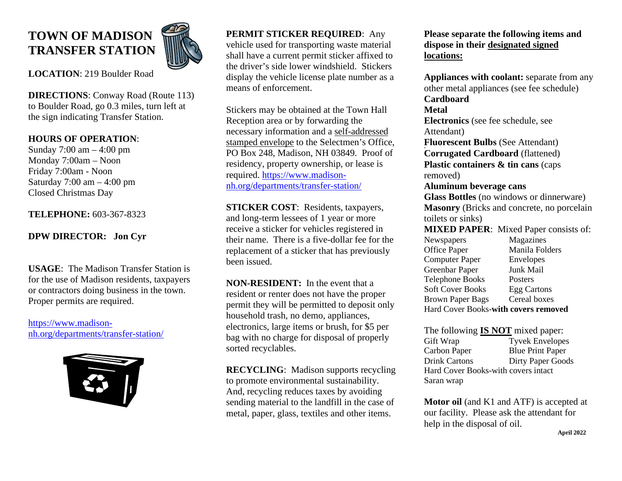# **TOWN OF MADISON TRANSFER STATION**



**LOCATION**: 219 Boulder Road

**DIRECTIONS**: Conway Road (Route 113) to Boulder Road, go 0.3 miles, turn left at the sign indicating Transfer Station.

# **HOURS OF OPERATION**:

Sunday 7:00 am – 4:00 pm Monday 7:00am – Noon Friday 7:00am - Noon Saturday  $7:00 \text{ am} - 4:00 \text{ pm}$ Closed Christmas Day

## **TELEPHONE:** 603-367-8323

# **DPW DIRECTOR: Jon Cyr**

**USAGE**: The Madison Transfer Station is for the use of Madison residents, taxpayers or contractors doing business in the town. Proper permits are required.

[https://www.madison](https://www.madison-nh.org/departments/transfer-station/)[nh.org/departments/transfer-station/](https://www.madison-nh.org/departments/transfer-station/)



# **PERMIT STICKER REQUIRED**: Any

vehicle used for transporting waste material shall have a current permit sticker affixed to the driver's side lower windshield. Stickers display the vehicle license plate number as a means of enforcement.

Stickers may be obtained at the Town Hall Reception area or by forwarding the necessary information and a self-addressed stamped envelope to the Selectmen's Office, PO Box 248, Madison, NH 03849. Proof of residency, property ownership, or lease is required. [https://www.madison](https://www.madison-nh.org/departments/transfer-station/)[nh.org/departments/transfer-station/](https://www.madison-nh.org/departments/transfer-station/)

**STICKER COST**: Residents, taxpayers, and long-term lessees of 1 year or more receive a sticker for vehicles registered in their name. There is a five-dollar fee for the replacement of a sticker that has previously been issued.

**NON-RESIDENT:** In the event that a resident or renter does not have the proper permit they will be permitted to deposit only household trash, no demo, appliances, electronics, large items or brush, for \$5 per bag with no charge for disposal of properly sorted recyclables.

**RECYCLING**: Madison supports recycling to promote environmental sustainability. And, recycling reduces taxes by avoiding sending material to the landfill in the case of metal, paper, glass, textiles and other items.

**Please separate the following items and dispose in their designated signed locations:**

**Appliances with coolant:** separate from any other metal appliances (see fee schedule) **Cardboard Metal Electronics** (see fee schedule, see Attendant) **Fluorescent Bulbs** (See Attendant) **Corrugated Cardboard** (flattened) **Plastic containers & tin cans** (caps removed) **Aluminum beverage cans Glass Bottles** (no windows or dinnerware) **Masonry** (Bricks and concrete, no porcelain toilets or sinks) **MIXED PAPER**: Mixed Paper consists of: Newspapers Magazines Office Paper Manila Folders Computer Paper Envelopes Greenbar Paper Junk Mail Telephone Books Posters Soft Cover Books Egg Cartons Brown Paper Bags Cereal boxes Hard Cover Books-**with covers removed**

The following **IS NOT** mixed paper: Gift Wrap Tyvek Envelopes Carbon Paper Blue Print Paper Drink Cartons Dirty Paper Goods Hard Cover Books-with covers intact Saran wrap

**Motor oil** (and K1 and ATF) is accepted at our facility. Please ask the attendant for help in the disposal of oil.  **April 2022**